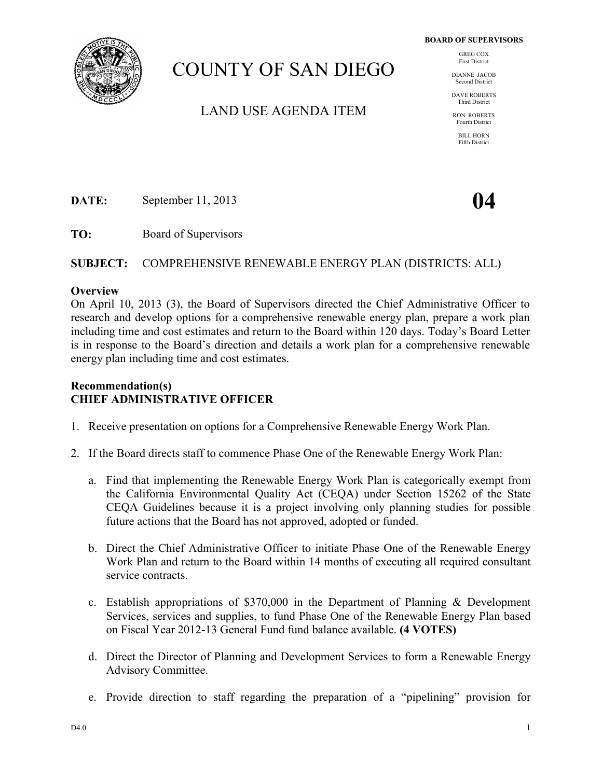

# COUNTY OF SAN DIEGO

LAND USE AGENDA ITEM

GREG COX First District

DIANNE JACOB Second District

DAVE ROBERTS Third District

RON ROBERTS Fourth District

> BILL HORN Fifth District

**DATE:** September 11, 2013 **04** 

**TO:** Board of Supervisors

**SUBJECT:** COMPREHENSIVE RENEWABLE ENERGY PLAN (DISTRICTS: ALL)

#### **Overview**

On April 10, 2013 (3), the Board of Supervisors directed the Chief Administrative Officer to research and develop options for a comprehensive renewable energy plan, prepare a work plan including time and cost estimates and return to the Board within 120 days. Today's Board Letter is in response to the Board's direction and details a work plan for a comprehensive renewable energy plan including time and cost estimates.

# **Recommendation(s) CHIEF ADMINISTRATIVE OFFICER**

- 1. Receive presentation on options for a Comprehensive Renewable Energy Work Plan.
- 2. If the Board directs staff to commence Phase One of the Renewable Energy Work Plan:
	- a. Find that implementing the Renewable Energy Work Plan is categorically exempt from the California Environmental Quality Act (CEQA) under Section 15262 of the State CEQA Guidelines because it is a project involving only planning studies for possible future actions that the Board has not approved, adopted or funded.
	- b. Direct the Chief Administrative Officer to initiate Phase One of the Renewable Energy Work Plan and return to the Board within 14 months of executing all required consultant service contracts.
	- c. Establish appropriations of \$370,000 in the Department of Planning & Development Services, services and supplies, to fund Phase One of the Renewable Energy Plan based on Fiscal Year 2012-13 General Fund fund balance available. **(4 VOTES)**
	- d. Direct the Director of Planning and Development Services to form a Renewable Energy Advisory Committee.
	- e. Provide direction to staff regarding the preparation of a "pipelining" provision for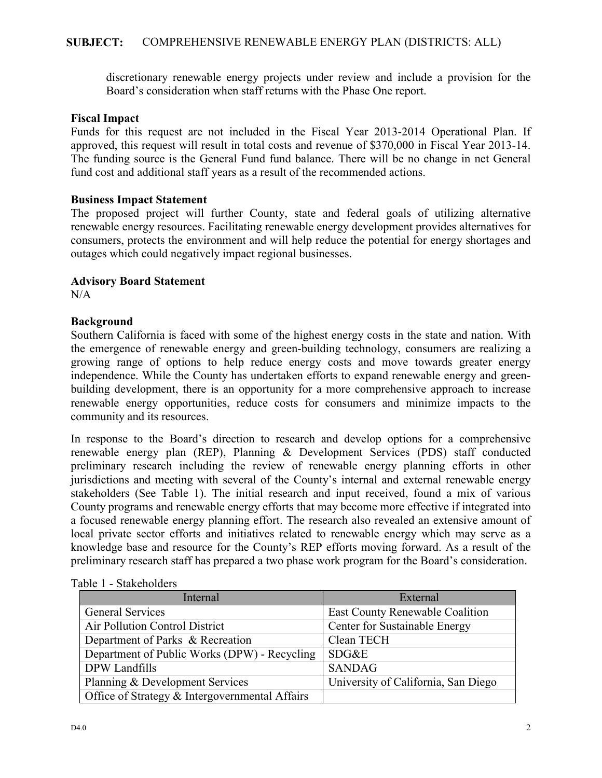discretionary renewable energy projects under review and include a provision for the Board's consideration when staff returns with the Phase One report.

#### **Fiscal Impact**

Funds for this request are not included in the Fiscal Year 2013-2014 Operational Plan. If approved, this request will result in total costs and revenue of \$370,000 in Fiscal Year 2013-14. The funding source is the General Fund fund balance. There will be no change in net General fund cost and additional staff years as a result of the recommended actions.

#### **Business Impact Statement**

The proposed project will further County, state and federal goals of utilizing alternative renewable energy resources. Facilitating renewable energy development provides alternatives for consumers, protects the environment and will help reduce the potential for energy shortages and outages which could negatively impact regional businesses.

#### **Advisory Board Statement**

 $N/A$ 

#### **Background**

Southern California is faced with some of the highest energy costs in the state and nation. With the emergence of renewable energy and green-building technology, consumers are realizing a growing range of options to help reduce energy costs and move towards greater energy independence. While the County has undertaken efforts to expand renewable energy and greenbuilding development, there is an opportunity for a more comprehensive approach to increase renewable energy opportunities, reduce costs for consumers and minimize impacts to the community and its resources.

In response to the Board's direction to research and develop options for a comprehensive renewable energy plan (REP), Planning & Development Services (PDS) staff conducted preliminary research including the review of renewable energy planning efforts in other jurisdictions and meeting with several of the County's internal and external renewable energy stakeholders (See Table 1). The initial research and input received, found a mix of various County programs and renewable energy efforts that may become more effective if integrated into a focused renewable energy planning effort. The research also revealed an extensive amount of local private sector efforts and initiatives related to renewable energy which may serve as a knowledge base and resource for the County's REP efforts moving forward. As a result of the preliminary research staff has prepared a two phase work program for the Board's consideration.

| Internal                                       | External                               |
|------------------------------------------------|----------------------------------------|
| General Services                               | <b>East County Renewable Coalition</b> |
| Air Pollution Control District                 | Center for Sustainable Energy          |
| Department of Parks & Recreation               | Clean TECH                             |
| Department of Public Works (DPW) - Recycling   | SDG&E                                  |
| DPW Landfills                                  | <b>SANDAG</b>                          |
| Planning & Development Services                | University of California, San Diego    |
| Office of Strategy & Intergovernmental Affairs |                                        |

Table 1 - Stakeholders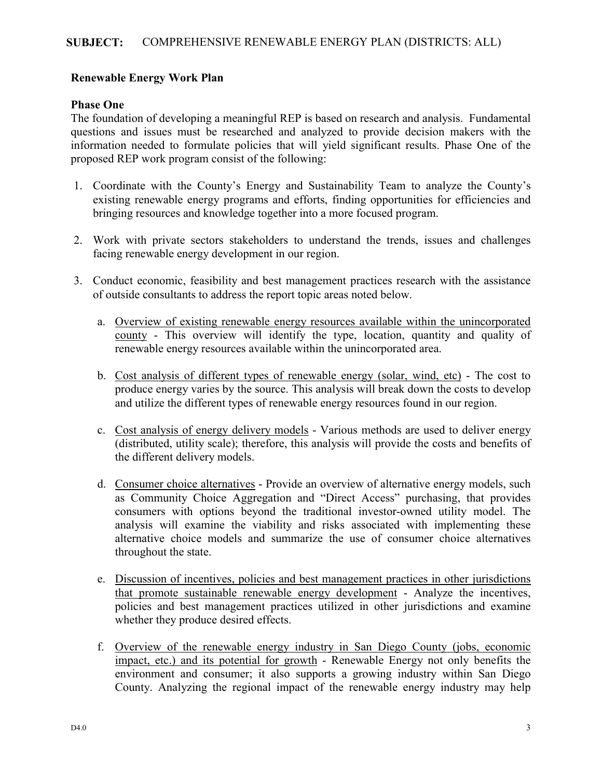# **Renewable Energy Work Plan**

#### **Phase One**

The foundation of developing a meaningful REP is based on research and analysis. Fundamental questions and issues must be researched and analyzed to provide decision makers with the information needed to formulate policies that will yield significant results. Phase One of the proposed REP work program consist of the following:

- 1. Coordinate with the County's Energy and Sustainability Team to analyze the County's existing renewable energy programs and efforts, finding opportunities for efficiencies and bringing resources and knowledge together into a more focused program.
- 2. Work with private sectors stakeholders to understand the trends, issues and challenges facing renewable energy development in our region.
- 3. Conduct economic, feasibility and best management practices research with the assistance of outside consultants to address the report topic areas noted below.
	- a. Overview of existing renewable energy resources available within the unincorporated county - This overview will identify the type, location, quantity and quality of renewable energy resources available within the unincorporated area.
	- b. Cost analysis of different types of renewable energy (solar, wind, etc) The cost to produce energy varies by the source. This analysis will break down the costs to develop and utilize the different types of renewable energy resources found in our region.
	- c. Cost analysis of energy delivery models Various methods are used to deliver energy (distributed, utility scale); therefore, this analysis will provide the costs and benefits of the different delivery models.
	- d. Consumer choice alternatives Provide an overview of alternative energy models, such as Community Choice Aggregation and "Direct Access" purchasing, that provides consumers with options beyond the traditional investor-owned utility model. The analysis will examine the viability and risks associated with implementing these alternative choice models and summarize the use of consumer choice alternatives throughout the state.
	- e. Discussion of incentives, policies and best management practices in other jurisdictions that promote sustainable renewable energy development - Analyze the incentives, policies and best management practices utilized in other jurisdictions and examine whether they produce desired effects.
	- f. Overview of the renewable energy industry in San Diego County (jobs, economic impact, etc.) and its potential for growth - Renewable Energy not only benefits the environment and consumer; it also supports a growing industry within San Diego County. Analyzing the regional impact of the renewable energy industry may help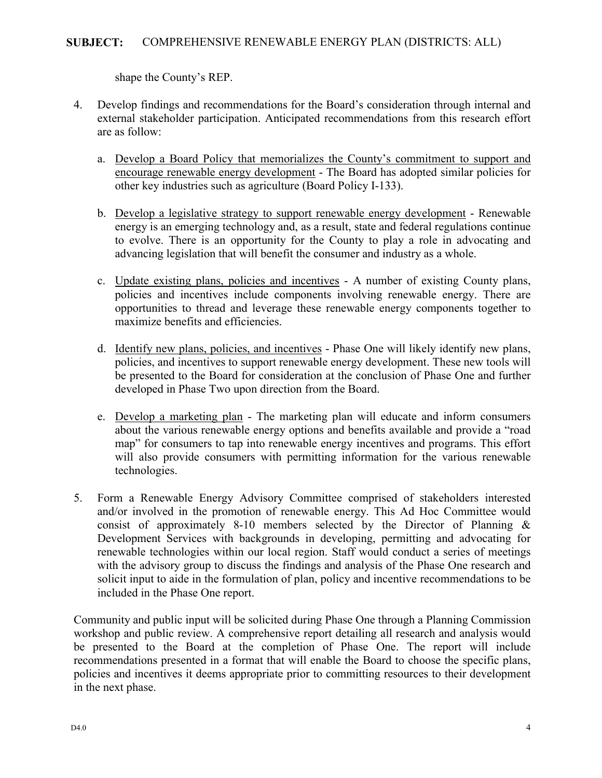shape the County's REP.

- 4. Develop findings and recommendations for the Board's consideration through internal and external stakeholder participation. Anticipated recommendations from this research effort are as follow:
	- a. Develop a Board Policy that memorializes the County's commitment to support and encourage renewable energy development - The Board has adopted similar policies for other key industries such as agriculture (Board Policy I-133).
	- b. Develop a legislative strategy to support renewable energy development Renewable energy is an emerging technology and, as a result, state and federal regulations continue to evolve. There is an opportunity for the County to play a role in advocating and advancing legislation that will benefit the consumer and industry as a whole.
	- c. Update existing plans, policies and incentives A number of existing County plans, policies and incentives include components involving renewable energy. There are opportunities to thread and leverage these renewable energy components together to maximize benefits and efficiencies.
	- d. Identify new plans, policies, and incentives Phase One will likely identify new plans, policies, and incentives to support renewable energy development. These new tools will be presented to the Board for consideration at the conclusion of Phase One and further developed in Phase Two upon direction from the Board.
	- e. Develop a marketing plan The marketing plan will educate and inform consumers about the various renewable energy options and benefits available and provide a "road map" for consumers to tap into renewable energy incentives and programs. This effort will also provide consumers with permitting information for the various renewable technologies.
- 5. Form a Renewable Energy Advisory Committee comprised of stakeholders interested and/or involved in the promotion of renewable energy. This Ad Hoc Committee would consist of approximately 8-10 members selected by the Director of Planning & Development Services with backgrounds in developing, permitting and advocating for renewable technologies within our local region. Staff would conduct a series of meetings with the advisory group to discuss the findings and analysis of the Phase One research and solicit input to aide in the formulation of plan, policy and incentive recommendations to be included in the Phase One report.

Community and public input will be solicited during Phase One through a Planning Commission workshop and public review. A comprehensive report detailing all research and analysis would be presented to the Board at the completion of Phase One. The report will include recommendations presented in a format that will enable the Board to choose the specific plans, policies and incentives it deems appropriate prior to committing resources to their development in the next phase.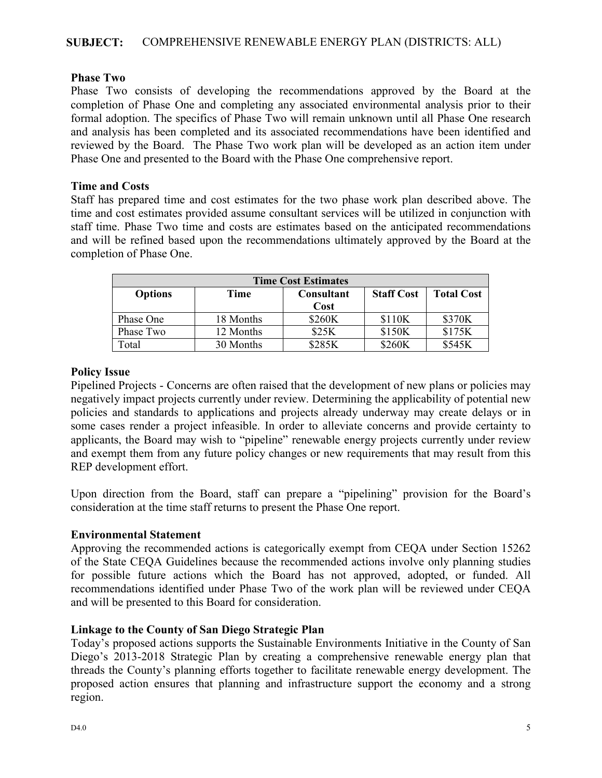### **Phase Two**

Phase Two consists of developing the recommendations approved by the Board at the completion of Phase One and completing any associated environmental analysis prior to their formal adoption. The specifics of Phase Two will remain unknown until all Phase One research and analysis has been completed and its associated recommendations have been identified and reviewed by the Board. The Phase Two work plan will be developed as an action item under Phase One and presented to the Board with the Phase One comprehensive report.

#### **Time and Costs**

Staff has prepared time and cost estimates for the two phase work plan described above. The time and cost estimates provided assume consultant services will be utilized in conjunction with staff time. Phase Two time and costs are estimates based on the anticipated recommendations and will be refined based upon the recommendations ultimately approved by the Board at the completion of Phase One.

| <b>Time Cost Estimates</b> |           |                   |                   |                   |
|----------------------------|-----------|-------------------|-------------------|-------------------|
| <b>Options</b>             | Time      | <b>Consultant</b> | <b>Staff Cost</b> | <b>Total Cost</b> |
|                            |           | Cost              |                   |                   |
| Phase One                  | 18 Months | \$260K            | \$110K            | \$370K            |
| Phase Two                  | 12 Months | \$25K             | \$150K            | \$175K            |
| Total                      | 30 Months | \$285K            | \$260K            | \$545K            |

#### **Policy Issue**

Pipelined Projects - Concerns are often raised that the development of new plans or policies may negatively impact projects currently under review. Determining the applicability of potential new policies and standards to applications and projects already underway may create delays or in some cases render a project infeasible. In order to alleviate concerns and provide certainty to applicants, the Board may wish to "pipeline" renewable energy projects currently under review and exempt them from any future policy changes or new requirements that may result from this REP development effort.

Upon direction from the Board, staff can prepare a "pipelining" provision for the Board's consideration at the time staff returns to present the Phase One report.

#### **Environmental Statement**

Approving the recommended actions is categorically exempt from CEQA under Section 15262 of the State CEQA Guidelines because the recommended actions involve only planning studies for possible future actions which the Board has not approved, adopted, or funded. All recommendations identified under Phase Two of the work plan will be reviewed under CEQA and will be presented to this Board for consideration.

# **Linkage to the County of San Diego Strategic Plan**

Today's proposed actions supports the Sustainable Environments Initiative in the County of San Diego's 2013-2018 Strategic Plan by creating a comprehensive renewable energy plan that threads the County's planning efforts together to facilitate renewable energy development. The proposed action ensures that planning and infrastructure support the economy and a strong region.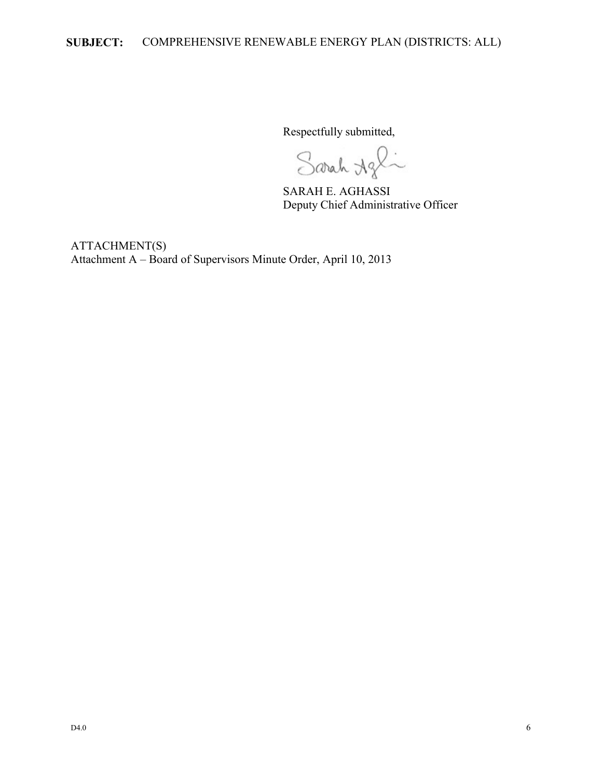Respectfully submitted,

Sarah Agli

SARAH E. AGHASSI Deputy Chief Administrative Officer

ATTACHMENT(S) Attachment A – Board of Supervisors Minute Order, April 10, 2013